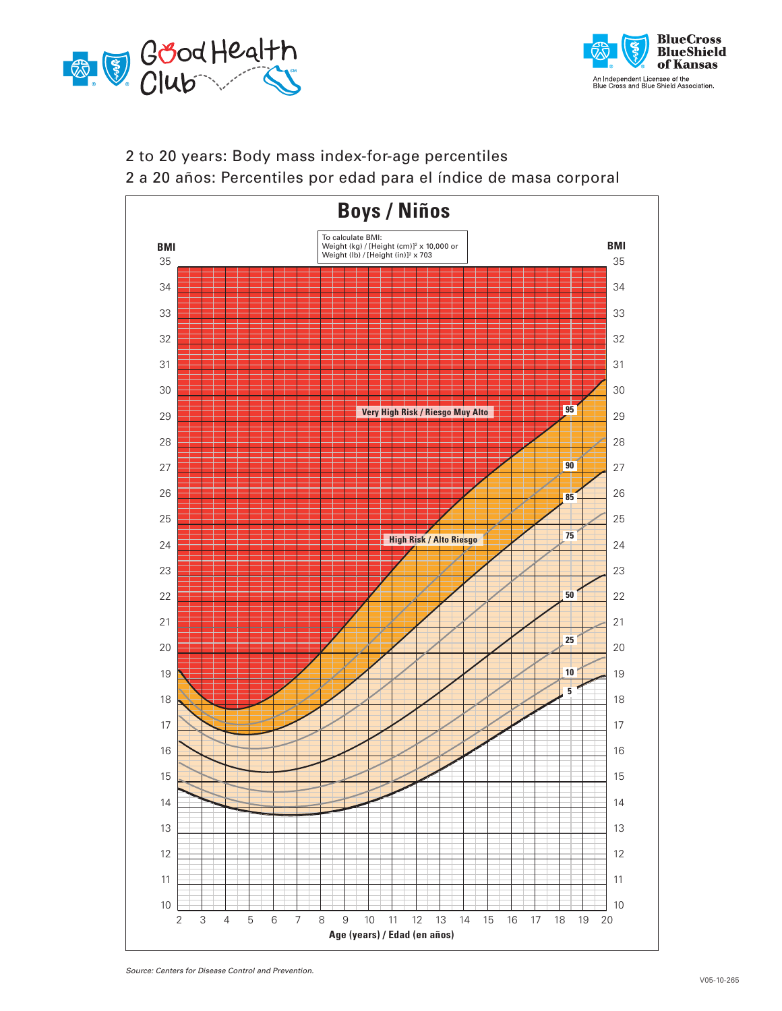



## 2 to 20 years: Body mass index-for-age percentiles

2 a 20 años: Percentiles por edad para el índice de masa corporal



*Source: Centers for Disease Control and Prevention.*